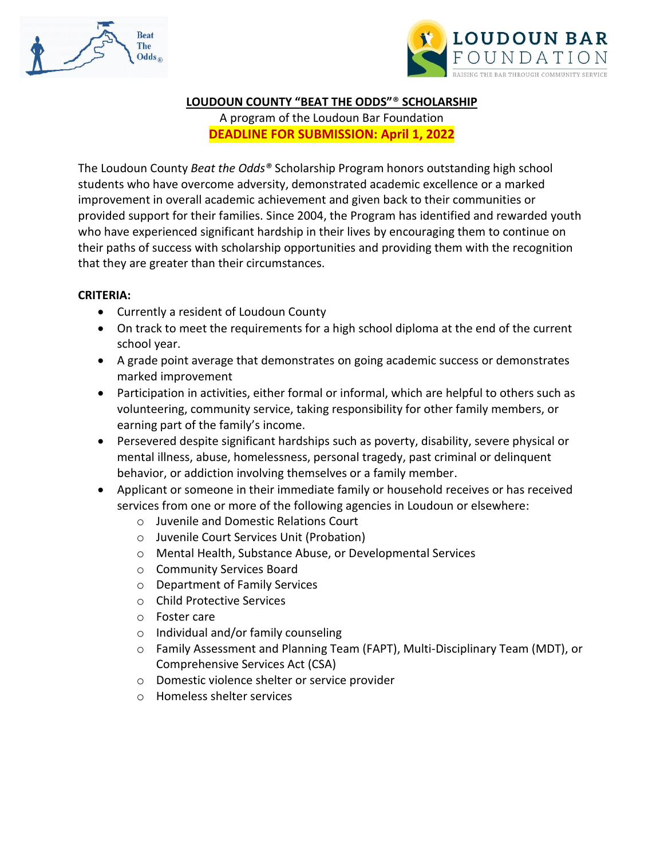



#### **LOUDOUN COUNTY "BEAT THE ODDS"**® **SCHOLARSHIP**

A program of the Loudoun Bar Foundation **DEADLINE FOR SUBMISSION: April 1, 2022**

The Loudoun County *Beat the Odds®* Scholarship Program honors outstanding high school students who have overcome adversity, demonstrated academic excellence or a marked improvement in overall academic achievement and given back to their communities or provided support for their families. Since 2004, the Program has identified and rewarded youth who have experienced significant hardship in their lives by encouraging them to continue on their paths of success with scholarship opportunities and providing them with the recognition that they are greater than their circumstances.

#### **CRITERIA:**

- Currently a resident of Loudoun County
- On track to meet the requirements for a high school diploma at the end of the current school year.
- A grade point average that demonstrates on going academic success or demonstrates marked improvement
- Participation in activities, either formal or informal, which are helpful to others such as volunteering, community service, taking responsibility for other family members, or earning part of the family's income.
- Persevered despite significant hardships such as poverty, disability, severe physical or mental illness, abuse, homelessness, personal tragedy, past criminal or delinquent behavior, or addiction involving themselves or a family member.
- Applicant or someone in their immediate family or household receives or has received services from one or more of the following agencies in Loudoun or elsewhere:
	- o Juvenile and Domestic Relations Court
	- o Juvenile Court Services Unit (Probation)
	- o Mental Health, Substance Abuse, or Developmental Services
	- o Community Services Board
	- o Department of Family Services
	- o Child Protective Services
	- o Foster care
	- o Individual and/or family counseling
	- o Family Assessment and Planning Team (FAPT), Multi-Disciplinary Team (MDT), or Comprehensive Services Act (CSA)
	- o Domestic violence shelter or service provider
	- o Homeless shelter services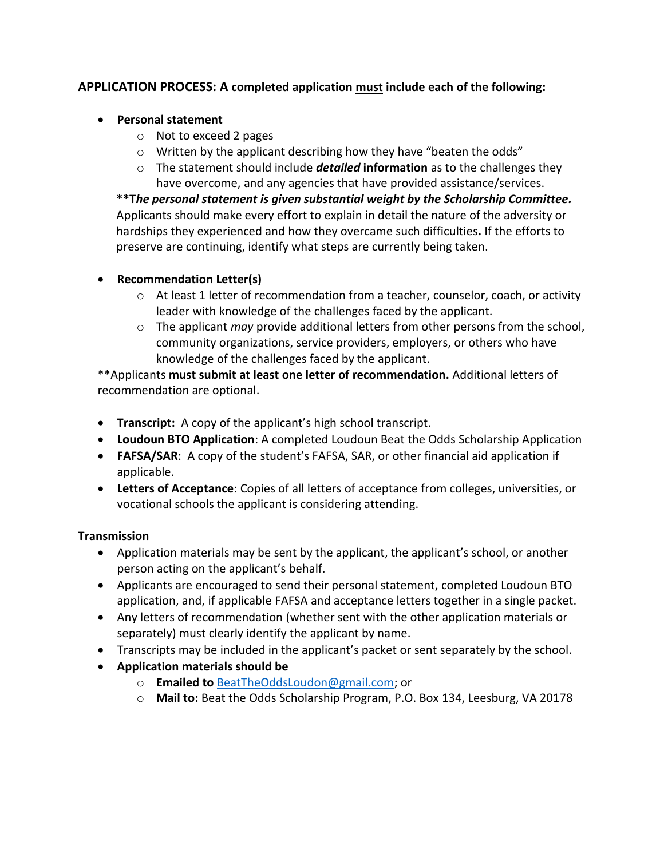### **APPLICATION PROCESS: A completed application must include each of the following:**

#### • **Personal statement**

- o Not to exceed 2 pages
- o Written by the applicant describing how they have "beaten the odds"
- o The statement should include *detailed* **information** as to the challenges they have overcome, and any agencies that have provided assistance/services.

**\*\*T***he personal statement is given substantial weight by the Scholarship Committee.*  Applicants should make every effort to explain in detail the nature of the adversity or hardships they experienced and how they overcame such difficulties**.** If the efforts to preserve are continuing, identify what steps are currently being taken.

#### • **Recommendation Letter(s)**

- $\circ$  At least 1 letter of recommendation from a teacher, counselor, coach, or activity leader with knowledge of the challenges faced by the applicant.
- o The applicant *may* provide additional letters from other persons from the school, community organizations, service providers, employers, or others who have knowledge of the challenges faced by the applicant.

\*\*Applicants **must submit at least one letter of recommendation.** Additional letters of recommendation are optional.

- **Transcript:** A copy of the applicant's high school transcript.
- **Loudoun BTO Application**: A completed Loudoun Beat the Odds Scholarship Application
- **FAFSA/SAR**: A copy of the student's FAFSA, SAR, or other financial aid application if applicable.
- **Letters of Acceptance**: Copies of all letters of acceptance from colleges, universities, or vocational schools the applicant is considering attending.

#### **Transmission**

- Application materials may be sent by the applicant, the applicant's school, or another person acting on the applicant's behalf.
- Applicants are encouraged to send their personal statement, completed Loudoun BTO application, and, if applicable FAFSA and acceptance letters together in a single packet.
- Any letters of recommendation (whether sent with the other application materials or separately) must clearly identify the applicant by name.
- Transcripts may be included in the applicant's packet or sent separately by the school.
- **Application materials should be** 
	- o **Emailed to** [BeatTheOddsLoudon@gmail.com;](mailto:BeatTheOddsLoudon@gmail.com) or
	- o **Mail to:** Beat the Odds Scholarship Program, P.O. Box 134, Leesburg, VA 20178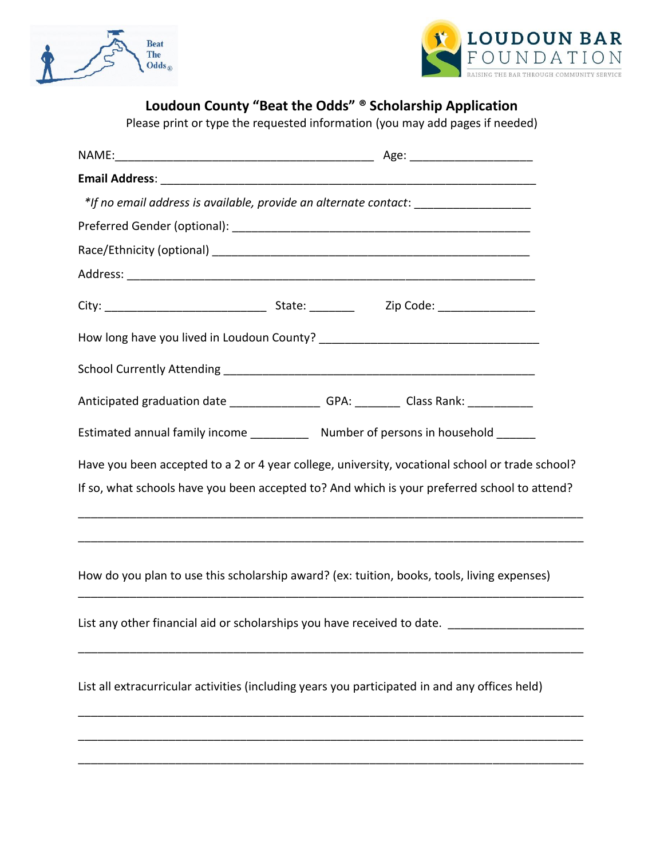



# **Loudoun County "Beat the Odds" ® Scholarship Application**

Please print or type the requested information (you may add pages if needed)

|                                                                                                 | Age: __________________________ |  |
|-------------------------------------------------------------------------------------------------|---------------------------------|--|
|                                                                                                 |                                 |  |
| *If no email address is available, provide an alternate contact: _______________                |                                 |  |
|                                                                                                 |                                 |  |
|                                                                                                 |                                 |  |
|                                                                                                 |                                 |  |
|                                                                                                 |                                 |  |
|                                                                                                 |                                 |  |
|                                                                                                 |                                 |  |
| Anticipated graduation date __________________GPA: __________Class Rank: _____________          |                                 |  |
| Estimated annual family income ______________ Number of persons in household _______            |                                 |  |
| Have you been accepted to a 2 or 4 year college, university, vocational school or trade school? |                                 |  |
| If so, what schools have you been accepted to? And which is your preferred school to attend?    |                                 |  |
|                                                                                                 |                                 |  |
| How do you plan to use this scholarship award? (ex: tuition, books, tools, living expenses)     |                                 |  |
| List any other financial aid or scholarships you have received to date.                         |                                 |  |
| List all extracurricular activities (including years you participated in and any offices held)  |                                 |  |
|                                                                                                 |                                 |  |
|                                                                                                 |                                 |  |
|                                                                                                 |                                 |  |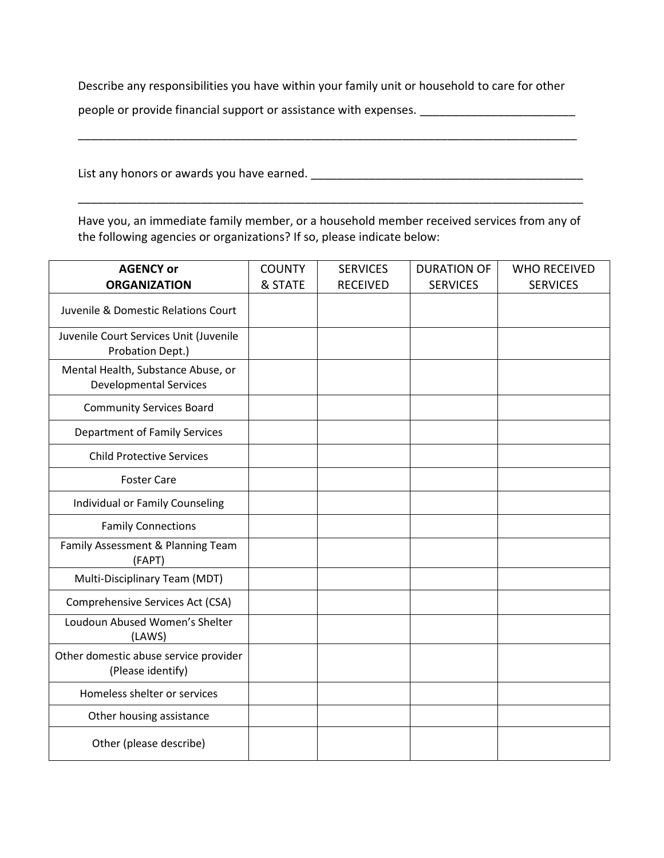Describe any responsibilities you have within your family unit or household to care for other

\_\_\_\_\_\_\_\_\_\_\_\_\_\_\_\_\_\_\_\_\_\_\_\_\_\_\_\_\_\_\_\_\_\_\_\_\_\_\_\_\_\_\_\_\_\_\_\_\_\_\_\_\_\_\_\_\_\_\_\_\_\_\_\_\_\_\_\_\_\_\_\_\_\_\_\_\_

people or provide financial support or assistance with expenses. \_\_\_\_\_\_\_\_\_\_\_\_\_\_\_\_\_\_\_\_\_\_

List any honors or awards you have earned. \_\_\_\_\_\_\_\_\_\_\_\_\_\_\_\_\_\_\_\_\_\_\_\_\_\_\_\_\_\_\_\_\_\_\_\_\_\_\_\_\_\_

Have you, an immediate family member, or a household member received services from any of the following agencies or organizations? If so, please indicate below:

\_\_\_\_\_\_\_\_\_\_\_\_\_\_\_\_\_\_\_\_\_\_\_\_\_\_\_\_\_\_\_\_\_\_\_\_\_\_\_\_\_\_\_\_\_\_\_\_\_\_\_\_\_\_\_\_\_\_\_\_\_\_\_\_\_\_\_\_\_\_\_\_\_\_\_\_\_\_

| <b>AGENCY or</b>                                                    | <b>COUNTY</b> | <b>SERVICES</b> | <b>DURATION OF</b> | <b>WHO RECEIVED</b> |
|---------------------------------------------------------------------|---------------|-----------------|--------------------|---------------------|
| <b>ORGANIZATION</b>                                                 | & STATE       | <b>RECEIVED</b> | <b>SERVICES</b>    | <b>SERVICES</b>     |
| Juvenile & Domestic Relations Court                                 |               |                 |                    |                     |
| Juvenile Court Services Unit (Juvenile<br>Probation Dept.)          |               |                 |                    |                     |
| Mental Health, Substance Abuse, or<br><b>Developmental Services</b> |               |                 |                    |                     |
| <b>Community Services Board</b>                                     |               |                 |                    |                     |
| <b>Department of Family Services</b>                                |               |                 |                    |                     |
| <b>Child Protective Services</b>                                    |               |                 |                    |                     |
| <b>Foster Care</b>                                                  |               |                 |                    |                     |
| Individual or Family Counseling                                     |               |                 |                    |                     |
| <b>Family Connections</b>                                           |               |                 |                    |                     |
| Family Assessment & Planning Team<br>(FAPT)                         |               |                 |                    |                     |
| Multi-Disciplinary Team (MDT)                                       |               |                 |                    |                     |
| Comprehensive Services Act (CSA)                                    |               |                 |                    |                     |
| Loudoun Abused Women's Shelter<br>(LAWS)                            |               |                 |                    |                     |
| Other domestic abuse service provider<br>(Please identify)          |               |                 |                    |                     |
| Homeless shelter or services                                        |               |                 |                    |                     |
| Other housing assistance                                            |               |                 |                    |                     |
| Other (please describe)                                             |               |                 |                    |                     |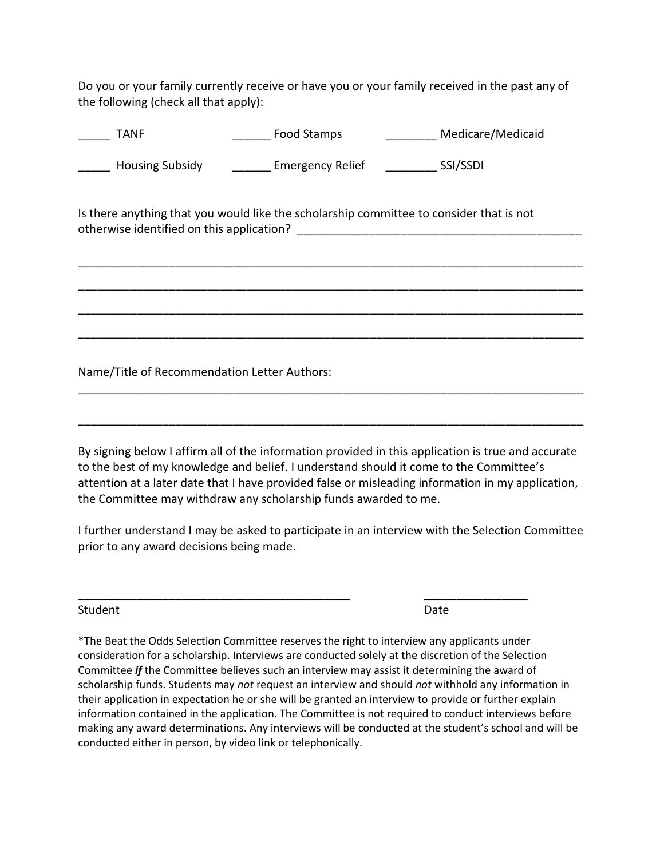Do you or your family currently receive or have you or your family received in the past any of the following (check all that apply):

TANF **Example 3 Tanaca TANF** Food Stamps **Example 3 Medicare/Medicaid** \_\_\_\_\_ Housing Subsidy \_\_\_\_\_\_ Emergency Relief \_\_\_\_\_\_\_\_ SSI/SSDI Is there anything that you would like the scholarship committee to consider that is not otherwise identified on this application? **Example 20** and the set of the set of the set of the set of the set o \_\_\_\_\_\_\_\_\_\_\_\_\_\_\_\_\_\_\_\_\_\_\_\_\_\_\_\_\_\_\_\_\_\_\_\_\_\_\_\_\_\_\_\_\_\_\_\_\_\_\_\_\_\_\_\_\_\_\_\_\_\_\_\_\_\_\_\_\_\_\_\_\_\_\_\_\_\_ \_\_\_\_\_\_\_\_\_\_\_\_\_\_\_\_\_\_\_\_\_\_\_\_\_\_\_\_\_\_\_\_\_\_\_\_\_\_\_\_\_\_\_\_\_\_\_\_\_\_\_\_\_\_\_\_\_\_\_\_\_\_\_\_\_\_\_\_\_\_\_\_\_\_\_\_\_\_ \_\_\_\_\_\_\_\_\_\_\_\_\_\_\_\_\_\_\_\_\_\_\_\_\_\_\_\_\_\_\_\_\_\_\_\_\_\_\_\_\_\_\_\_\_\_\_\_\_\_\_\_\_\_\_\_\_\_\_\_\_\_\_\_\_\_\_\_\_\_\_\_\_\_\_\_\_\_ \_\_\_\_\_\_\_\_\_\_\_\_\_\_\_\_\_\_\_\_\_\_\_\_\_\_\_\_\_\_\_\_\_\_\_\_\_\_\_\_\_\_\_\_\_\_\_\_\_\_\_\_\_\_\_\_\_\_\_\_\_\_\_\_\_\_\_\_\_\_\_\_\_\_\_\_\_\_ Name/Title of Recommendation Letter Authors: \_\_\_\_\_\_\_\_\_\_\_\_\_\_\_\_\_\_\_\_\_\_\_\_\_\_\_\_\_\_\_\_\_\_\_\_\_\_\_\_\_\_\_\_\_\_\_\_\_\_\_\_\_\_\_\_\_\_\_\_\_\_\_\_\_\_\_\_\_\_\_\_\_\_\_\_\_\_

By signing below I affirm all of the information provided in this application is true and accurate to the best of my knowledge and belief. I understand should it come to the Committee's attention at a later date that I have provided false or misleading information in my application, the Committee may withdraw any scholarship funds awarded to me.

\_\_\_\_\_\_\_\_\_\_\_\_\_\_\_\_\_\_\_\_\_\_\_\_\_\_\_\_\_\_\_\_\_\_\_\_\_\_\_\_\_\_\_\_\_\_\_\_\_\_\_\_\_\_\_\_\_\_\_\_\_\_\_\_\_\_\_\_\_\_\_\_\_\_\_\_\_\_

I further understand I may be asked to participate in an interview with the Selection Committee prior to any award decisions being made.

\_\_\_\_\_\_\_\_\_\_\_\_\_\_\_\_\_\_\_\_\_\_\_\_\_\_\_\_\_\_\_\_\_\_\_\_\_\_\_\_\_\_ \_\_\_\_\_\_\_\_\_\_\_\_\_\_\_\_

Student **Date** 

\*The Beat the Odds Selection Committee reserves the right to interview any applicants under consideration for a scholarship. Interviews are conducted solely at the discretion of the Selection Committee *if* the Committee believes such an interview may assist it determining the award of scholarship funds. Students may *not* request an interview and should *not* withhold any information in their application in expectation he or she will be granted an interview to provide or further explain information contained in the application. The Committee is not required to conduct interviews before making any award determinations. Any interviews will be conducted at the student's school and will be conducted either in person, by video link or telephonically.